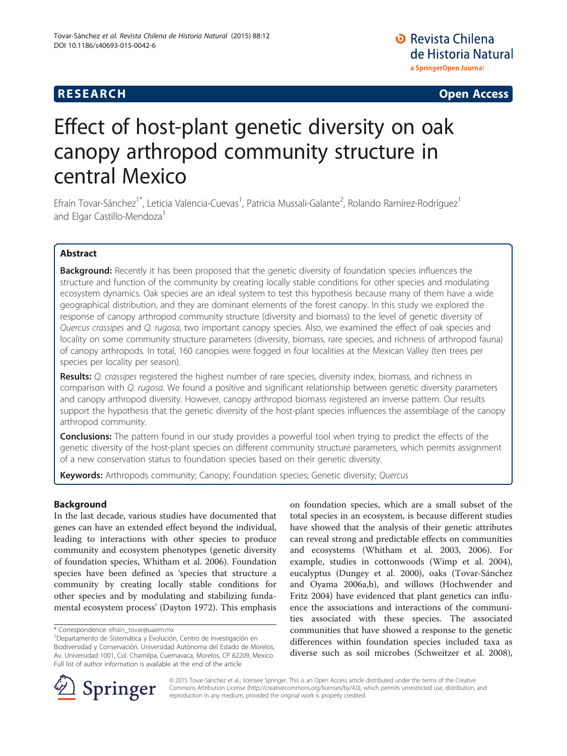## **RESEARCH CHE Open Access**

**D** Revista Chilena de Historia Natural a SpringerOpen Journal

# Effect of host-plant genetic diversity on oak canopy arthropod community structure in central Mexico

Efraín Tovar-Sánchez<sup>1\*</sup>, Leticia Valencia-Cuevas<sup>1</sup>, Patricia Mussali-Galante<sup>2</sup>, Rolando Ramírez-Rodríguez<sup>1</sup> and Elgar Castillo-Mendoza<sup>1</sup>

## Abstract

Background: Recently it has been proposed that the genetic diversity of foundation species influences the structure and function of the community by creating locally stable conditions for other species and modulating ecosystem dynamics. Oak species are an ideal system to test this hypothesis because many of them have a wide geographical distribution, and they are dominant elements of the forest canopy. In this study we explored the response of canopy arthropod community structure (diversity and biomass) to the level of genetic diversity of Quercus crassipes and Q. rugosa, two important canopy species. Also, we examined the effect of oak species and locality on some community structure parameters (diversity, biomass, rare species, and richness of arthropod fauna) of canopy arthropods. In total, 160 canopies were fogged in four localities at the Mexican Valley (ten trees per species per locality per season).

Results: Q. crassipes registered the highest number of rare species, diversity index, biomass, and richness in comparison with Q. rugosa. We found a positive and significant relationship between genetic diversity parameters and canopy arthropod diversity. However, canopy arthropod biomass registered an inverse pattern. Our results support the hypothesis that the genetic diversity of the host-plant species influences the assemblage of the canopy arthropod community.

**Conclusions:** The pattern found in our study provides a powerful tool when trying to predict the effects of the genetic diversity of the host-plant species on different community structure parameters, which permits assignment of a new conservation status to foundation species based on their genetic diversity.

Keywords: Arthropods community; Canopy; Foundation species; Genetic diversity; Quercus

## Background

In the last decade, various studies have documented that genes can have an extended effect beyond the individual, leading to interactions with other species to produce community and ecosystem phenotypes (genetic diversity of foundation species, Whitham et al. [2006](#page-11-0)). Foundation species have been defined as 'species that structure a community by creating locally stable conditions for other species and by modulating and stabilizing fundamental ecosystem process' (Dayton [1972](#page-10-0)). This emphasis

on foundation species, which are a small subset of the total species in an ecosystem, is because different studies have showed that the analysis of their genetic attributes can reveal strong and predictable effects on communities and ecosystems (Whitham et al. [2003](#page-11-0), [2006\)](#page-11-0). For example, studies in cottonwoods (Wimp et al. [2004](#page-11-0)), eucalyptus (Dungey et al. [2000](#page-10-0)), oaks (Tovar-Sánchez and Oyama [2006a](#page-11-0),[b\)](#page-11-0), and willows (Hochwender and Fritz [2004\)](#page-10-0) have evidenced that plant genetics can influence the associations and interactions of the communities associated with these species. The associated communities that have showed a response to the genetic differences within foundation species included taxa as diverse such as soil microbes (Schweitzer et al. [2008](#page-10-0)),



© 2015 Tovar-Sánchez et al.; licensee Springer. This is an Open Access article distributed under the terms of the Creative Commons Attribution License ([http://creativecommons.org/licenses/by/4.0](http://www.fao.org)), which permits unrestricted use, distribution, and reproduction in any medium, provided the original work is properly credited.

<sup>\*</sup> Correspondence: [efrain\\_tovar@uaem.mx](mailto:efrain_tovar@uaem.mx) <sup>1</sup>

Departamento de Sistemática y Evolución, Centro de Investigación en Biodiversidad y Conservación, Universidad Autónoma del Estado de Morelos, Av. Universidad 1001, Col. Chamilpa, Cuernavaca, Morelos, CP 62209, Mexico Full list of author information is available at the end of the article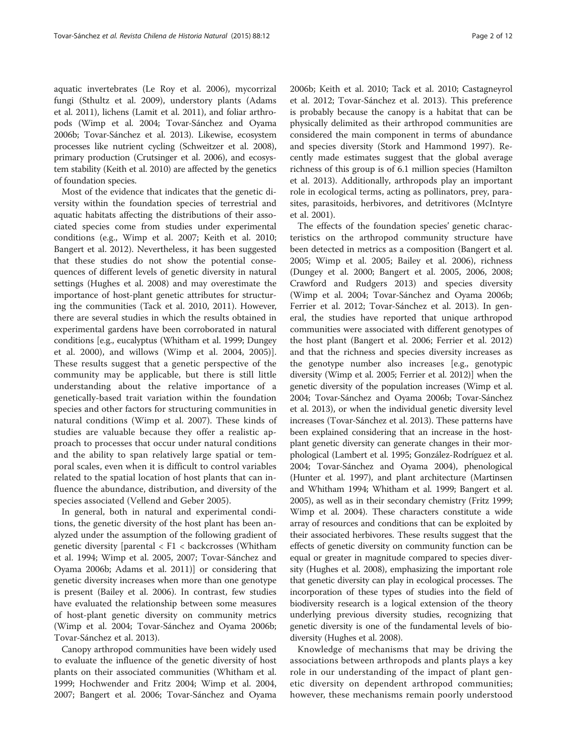aquatic invertebrates (Le Roy et al. [2006](#page-10-0)), mycorrizal fungi (Sthultz et al. [2009](#page-10-0)), understory plants (Adams et al. 2011), lichens (Lamit et al. [2011](#page-10-0)), and foliar arthropods (Wimp et al. [2004;](#page-11-0) Tovar-Sánchez and Oyama [2006b](#page-11-0); Tovar-Sánchez et al. [2013](#page-11-0)). Likewise, ecosystem processes like nutrient cycling (Schweitzer et al. [2008](#page-10-0)), primary production (Crutsinger et al. [2006\)](#page-10-0), and ecosystem stability (Keith et al. [2010\)](#page-10-0) are affected by the genetics of foundation species.

Most of the evidence that indicates that the genetic diversity within the foundation species of terrestrial and aquatic habitats affecting the distributions of their associated species come from studies under experimental conditions (e.g., Wimp et al. [2007;](#page-11-0) Keith et al. [2010](#page-10-0); Bangert et al. [2012](#page-10-0)). Nevertheless, it has been suggested that these studies do not show the potential consequences of different levels of genetic diversity in natural settings (Hughes et al. [2008\)](#page-10-0) and may overestimate the importance of host-plant genetic attributes for structuring the communities (Tack et al. [2010, 2011](#page-10-0)). However, there are several studies in which the results obtained in experimental gardens have been corroborated in natural conditions [e.g., eucalyptus (Whitham et al. [1999](#page-11-0); Dungey et al. [2000](#page-10-0)), and willows (Wimp et al. [2004](#page-11-0), [2005\)](#page-11-0)]. These results suggest that a genetic perspective of the community may be applicable, but there is still little understanding about the relative importance of a genetically-based trait variation within the foundation species and other factors for structuring communities in natural conditions (Wimp et al. [2007](#page-11-0)). These kinds of studies are valuable because they offer a realistic approach to processes that occur under natural conditions and the ability to span relatively large spatial or temporal scales, even when it is difficult to control variables related to the spatial location of host plants that can influence the abundance, distribution, and diversity of the species associated (Vellend and Geber [2005](#page-11-0)).

In general, both in natural and experimental conditions, the genetic diversity of the host plant has been analyzed under the assumption of the following gradient of genetic diversity [parental < F1 < backcrosses (Whitham et al. [1994](#page-11-0); Wimp et al. [2005, 2007](#page-11-0); Tovar-Sánchez and Oyama [2006b;](#page-11-0) Adams et al. 2011)] or considering that genetic diversity increases when more than one genotype is present (Bailey et al. [2006](#page-10-0)). In contrast, few studies have evaluated the relationship between some measures of host-plant genetic diversity on community metrics (Wimp et al. [2004;](#page-11-0) Tovar-Sánchez and Oyama [2006b](#page-11-0); Tovar-Sánchez et al. [2013](#page-11-0)).

Canopy arthropod communities have been widely used to evaluate the influence of the genetic diversity of host plants on their associated communities (Whitham et al. [1999](#page-11-0); Hochwender and Fritz [2004](#page-10-0); Wimp et al. [2004](#page-11-0), [2007](#page-11-0); Bangert et al. [2006;](#page-10-0) Tovar-Sánchez and Oyama [2006b](#page-11-0); Keith et al. [2010;](#page-10-0) Tack et al. [2010;](#page-10-0) Castagneyrol et al. [2012](#page-10-0); Tovar-Sánchez et al. [2013](#page-11-0)). This preference is probably because the canopy is a habitat that can be physically delimited as their arthropod communities are considered the main component in terms of abundance and species diversity (Stork and Hammond [1997\)](#page-10-0). Recently made estimates suggest that the global average richness of this group is of 6.1 million species (Hamilton et al. [2013\)](#page-10-0). Additionally, arthropods play an important role in ecological terms, acting as pollinators, prey, parasites, parasitoids, herbivores, and detritivores (McIntyre et al. [2001\)](#page-10-0).

The effects of the foundation species' genetic characteristics on the arthropod community structure have been detected in metrics as a composition (Bangert et al. [2005](#page-10-0); Wimp et al. [2005](#page-11-0); Bailey et al. [2006\)](#page-10-0), richness (Dungey et al. [2000](#page-10-0); Bangert et al. [2005](#page-10-0), [2006](#page-10-0), [2008](#page-10-0); Crawford and Rudgers [2013](#page-10-0)) and species diversity (Wimp et al. [2004;](#page-11-0) Tovar-Sánchez and Oyama [2006b](#page-11-0); Ferrier et al. [2012;](#page-10-0) Tovar-Sánchez et al. [2013\)](#page-11-0). In general, the studies have reported that unique arthropod communities were associated with different genotypes of the host plant (Bangert et al. [2006](#page-10-0); Ferrier et al. [2012](#page-10-0)) and that the richness and species diversity increases as the genotype number also increases [e.g., genotypic diversity (Wimp et al. [2005;](#page-11-0) Ferrier et al. [2012\)](#page-10-0)] when the genetic diversity of the population increases (Wimp et al. [2004;](#page-11-0) Tovar-Sánchez and Oyama [2006b](#page-11-0); Tovar-Sánchez et al. [2013](#page-11-0)), or when the individual genetic diversity level increases (Tovar-Sánchez et al. [2013](#page-11-0)). These patterns have been explained considering that an increase in the hostplant genetic diversity can generate changes in their morphological (Lambert et al. [1995](#page-10-0); González-Rodríguez et al. [2004;](#page-10-0) Tovar-Sánchez and Oyama [2004\)](#page-10-0), phenological (Hunter et al. [1997\)](#page-10-0), and plant architecture (Martinsen and Whitham [1994](#page-10-0); Whitham et al. [1999](#page-11-0); Bangert et al. [2005\)](#page-10-0), as well as in their secondary chemistry (Fritz [1999](#page-10-0); Wimp et al. [2004\)](#page-11-0). These characters constitute a wide array of resources and conditions that can be exploited by their associated herbivores. These results suggest that the effects of genetic diversity on community function can be equal or greater in magnitude compared to species diversity (Hughes et al. [2008](#page-10-0)), emphasizing the important role that genetic diversity can play in ecological processes. The incorporation of these types of studies into the field of biodiversity research is a logical extension of the theory underlying previous diversity studies, recognizing that genetic diversity is one of the fundamental levels of biodiversity (Hughes et al. [2008\)](#page-10-0).

Knowledge of mechanisms that may be driving the associations between arthropods and plants plays a key role in our understanding of the impact of plant genetic diversity on dependent arthropod communities; however, these mechanisms remain poorly understood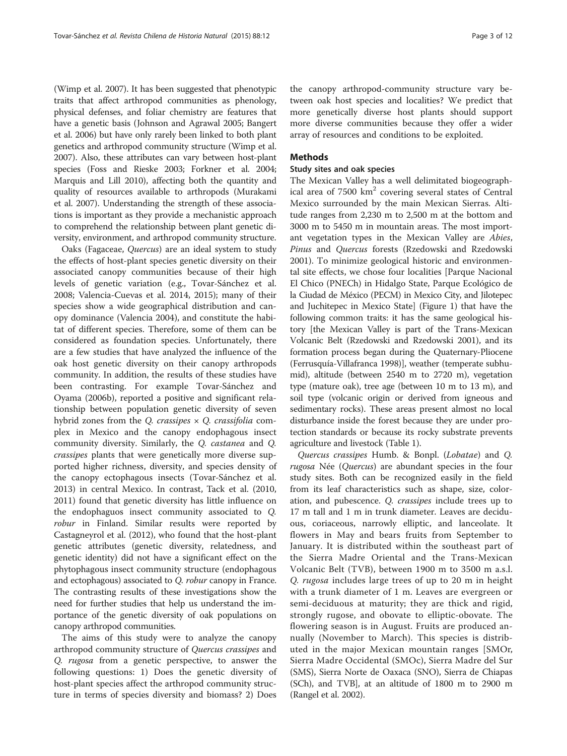(Wimp et al. [2007\)](#page-11-0). It has been suggested that phenotypic traits that affect arthropod communities as phenology, physical defenses, and foliar chemistry are features that have a genetic basis (Johnson and Agrawal [2005;](#page-10-0) Bangert et al. [2006](#page-10-0)) but have only rarely been linked to both plant genetics and arthropod community structure (Wimp et al. [2007\)](#page-11-0). Also, these attributes can vary between host-plant species (Foss and Rieske [2003;](#page-10-0) Forkner et al. [2004](#page-10-0); Marquis and Lill [2010](#page-10-0)), affecting both the quantity and quality of resources available to arthropods (Murakami et al. [2007](#page-10-0)). Understanding the strength of these associations is important as they provide a mechanistic approach to comprehend the relationship between plant genetic diversity, environment, and arthropod community structure.

Oaks (Fagaceae, Quercus) are an ideal system to study the effects of host-plant species genetic diversity on their associated canopy communities because of their high levels of genetic variation (e.g., Tovar-Sánchez et al. [2008](#page-11-0); Valencia-Cuevas et al. [2014, 2015\)](#page-11-0); many of their species show a wide geographical distribution and canopy dominance (Valencia [2004](#page-11-0)), and constitute the habitat of different species. Therefore, some of them can be considered as foundation species. Unfortunately, there are a few studies that have analyzed the influence of the oak host genetic diversity on their canopy arthropods community. In addition, the results of these studies have been contrasting. For example Tovar-Sánchez and Oyama ([2006b](#page-11-0)), reported a positive and significant relationship between population genetic diversity of seven hybrid zones from the Q. crassipes  $\times$  Q. crassifolia complex in Mexico and the canopy endophagous insect community diversity. Similarly, the Q. castanea and Q. crassipes plants that were genetically more diverse supported higher richness, diversity, and species density of the canopy ectophagous insects (Tovar-Sánchez et al. [2013](#page-11-0)) in central Mexico. In contrast, Tack et al. ([2010](#page-10-0), [2011](#page-10-0)) found that genetic diversity has little influence on the endophaguos insect community associated to Q. robur in Finland. Similar results were reported by Castagneyrol et al. ([2012](#page-10-0)), who found that the host-plant genetic attributes (genetic diversity, relatedness, and genetic identity) did not have a significant effect on the phytophagous insect community structure (endophagous and ectophagous) associated to *Q. robur* canopy in France. The contrasting results of these investigations show the need for further studies that help us understand the importance of the genetic diversity of oak populations on canopy arthropod communities.

The aims of this study were to analyze the canopy arthropod community structure of Quercus crassipes and Q. rugosa from a genetic perspective, to answer the following questions: 1) Does the genetic diversity of host-plant species affect the arthropod community structure in terms of species diversity and biomass? 2) Does the canopy arthropod-community structure vary between oak host species and localities? We predict that more genetically diverse host plants should support more diverse communities because they offer a wider array of resources and conditions to be exploited.

## Methods

## Study sites and oak species

The Mexican Valley has a well delimitated biogeographical area of 7500 km<sup>2</sup> covering several states of Central Mexico surrounded by the main Mexican Sierras. Altitude ranges from 2,230 m to 2,500 m at the bottom and 3000 m to 5450 m in mountain areas. The most important vegetation types in the Mexican Valley are Abies, Pinus and Quercus forests (Rzedowski and Rzedowski [2001](#page-10-0)). To minimize geological historic and environmental site effects, we chose four localities [Parque Nacional El Chico (PNECh) in Hidalgo State, Parque Ecológico de la Ciudad de México (PECM) in Mexico City, and Jilotepec and Juchitepec in Mexico State] (Figure [1](#page-3-0)) that have the following common traits: it has the same geological history [the Mexican Valley is part of the Trans-Mexican Volcanic Belt (Rzedowski and Rzedowski [2001](#page-10-0)), and its formation process began during the Quaternary-Pliocene (Ferrusquía-Villafranca [1998\)](#page-10-0)], weather (temperate subhumid), altitude (between 2540 m to 2720 m), vegetation type (mature oak), tree age (between 10 m to 13 m), and soil type (volcanic origin or derived from igneous and sedimentary rocks). These areas present almost no local disturbance inside the forest because they are under protection standards or because its rocky substrate prevents agriculture and livestock (Table [1](#page-3-0)).

Quercus crassipes Humb. & Bonpl. (Lobatae) and Q. rugosa Née (Quercus) are abundant species in the four study sites. Both can be recognized easily in the field from its leaf characteristics such as shape, size, coloration, and pubescence. Q. crassipes include trees up to 17 m tall and 1 m in trunk diameter. Leaves are deciduous, coriaceous, narrowly elliptic, and lanceolate. It flowers in May and bears fruits from September to January. It is distributed within the southeast part of the Sierra Madre Oriental and the Trans-Mexican Volcanic Belt (TVB), between 1900 m to 3500 m a.s.l. Q. rugosa includes large trees of up to 20 m in height with a trunk diameter of 1 m. Leaves are evergreen or semi-deciduous at maturity; they are thick and rigid, strongly rugose, and obovate to elliptic-obovate. The flowering season is in August. Fruits are produced annually (November to March). This species is distributed in the major Mexican mountain ranges [SMOr, Sierra Madre Occidental (SMOc), Sierra Madre del Sur (SMS), Sierra Norte de Oaxaca (SNO), Sierra de Chiapas (SCh), and TVB], at an altitude of 1800 m to 2900 m (Rangel et al. [2002](#page-10-0)).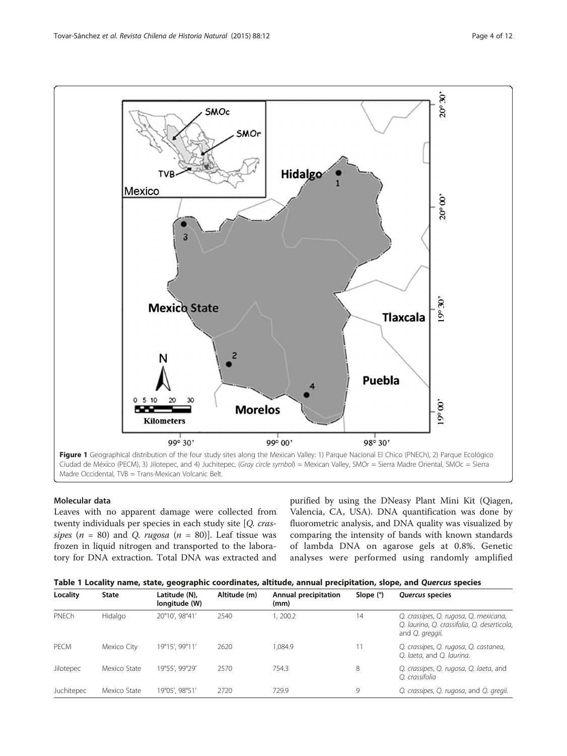<span id="page-3-0"></span>

Madre Occidental, TVB = Trans-Mexican Volcanic Belt.

## Molecular data

Leaves with no apparent damage were collected from twenty individuals per species in each study site [Q. crassipes ( $n = 80$ ) and Q. rugosa ( $n = 80$ )]. Leaf tissue was frozen in liquid nitrogen and transported to the laboratory for DNA extraction. Total DNA was extracted and purified by using the DNeasy Plant Mini Kit (Qiagen, Valencia, CA, USA). DNA quantification was done by fluorometric analysis, and DNA quality was visualized by comparing the intensity of bands with known standards of lambda DNA on agarose gels at 0.8%. Genetic analyses were performed using randomly amplified

|  | Table 1 Locality name, state, geographic coordinates, altitude, annual precipitation, slope, and Quercus species |  |  |  |  |
|--|------------------------------------------------------------------------------------------------------------------|--|--|--|--|
|  |                                                                                                                  |  |  |  |  |

| Locality    | <b>State</b> | Latitude (N),<br>longitude (W) | Altitude (m) | Annual precipitation<br>(mm) | Slope $(°)$ | Quercus species                                                                                         |
|-------------|--------------|--------------------------------|--------------|------------------------------|-------------|---------------------------------------------------------------------------------------------------------|
| PNECh       | Hidalgo      | 20°10', 98°41'                 | 2540         | .200.2                       | 14          | Q. crassipes, Q. rugosa, Q. mexicana,<br>Q. laurina, Q. crassifolia, Q. deserticola,<br>and Q. greggii. |
| <b>PFCM</b> | Mexico City  | 19°15', 99°11'                 | 2620         | 1.084.9                      |             | Q. crassipes, Q. rugosa, Q. castanea,<br>Q. laeta, and Q. laurina.                                      |
| Jilotepec   | Mexico State | 19°55', 99°29'                 | 2570         | 754.3                        | 8           | Q. crassipes, Q. rugosa, Q. laeta, and<br>O. crassifolia                                                |
| Juchitepec  | Mexico State | 19°05′, 98°51′                 | 2720         | 729.9                        | 9           | Q. crassipes, Q. rugosa, and Q. gregii.                                                                 |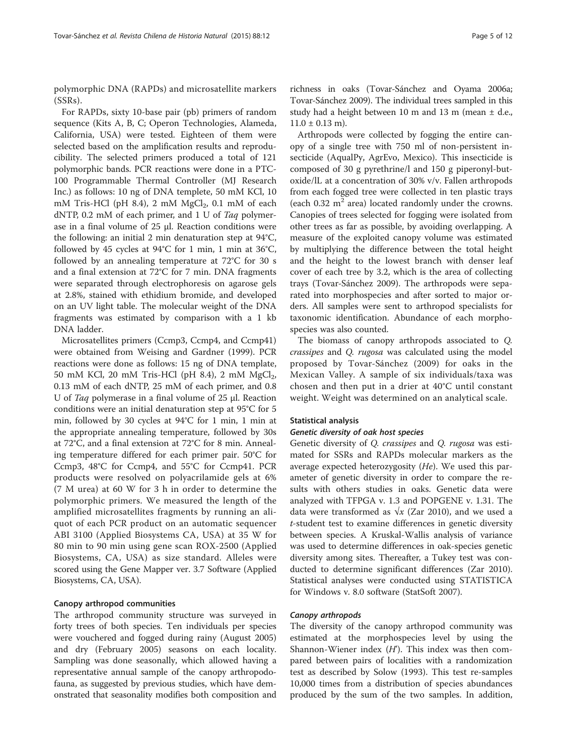polymorphic DNA (RAPDs) and microsatellite markers (SSRs).

For RAPDs, sixty 10-base pair (pb) primers of random sequence (Kits A, B, C; Operon Technologies, Alameda, California, USA) were tested. Eighteen of them were selected based on the amplification results and reproducibility. The selected primers produced a total of 121 polymorphic bands. PCR reactions were done in a PTC-100 Programmable Thermal Controller (MJ Research Inc.) as follows: 10 ng of DNA templete, 50 mM KCl, 10 mM Tris-HCl (pH 8.4), 2 mM  $MgCl<sub>2</sub>$ , 0.1 mM of each dNTP, 0.2 mM of each primer, and 1 U of Taq polymerase in a final volume of 25 μl. Reaction conditions were the following: an initial 2 min denaturation step at 94°C, followed by 45 cycles at 94°C for 1 min, 1 min at 36°C, followed by an annealing temperature at 72°C for 30 s and a final extension at 72°C for 7 min. DNA fragments were separated through electrophoresis on agarose gels at 2.8%, stained with ethidium bromide, and developed on an UV light table. The molecular weight of the DNA fragments was estimated by comparison with a 1 kb DNA ladder.

Microsatellites primers (Ccmp3, Ccmp4, and Ccmp41) were obtained from Weising and Gardner ([1999\)](#page-11-0). PCR reactions were done as follows: 15 ng of DNA template, 50 mM KCl, 20 mM Tris-HCl (pH 8.4), 2 mM  $MgCl<sub>2</sub>$ , 0.13 mM of each dNTP, 25 mM of each primer, and 0.8 U of Taq polymerase in a final volume of 25 <sup>μ</sup>l. Reaction conditions were an initial denaturation step at 95°C for 5 min, followed by 30 cycles at 94°C for 1 min, 1 min at the appropriate annealing temperature, followed by 30s at 72°C, and a final extension at 72°C for 8 min. Annealing temperature differed for each primer pair. 50°C for Ccmp3, 48°C for Ccmp4, and 55°C for Ccmp41. PCR products were resolved on polyacrilamide gels at 6% (7 M urea) at 60 W for 3 h in order to determine the polymorphic primers. We measured the length of the amplified microsatellites fragments by running an aliquot of each PCR product on an automatic sequencer ABI 3100 (Applied Biosystems CA, USA) at 35 W for 80 min to 90 min using gene scan ROX-2500 (Applied Biosystems, CA, USA) as size standard. Alleles were scored using the Gene Mapper ver. 3.7 Software (Applied Biosystems, CA, USA).

## Canopy arthropod communities

The arthropod community structure was surveyed in forty trees of both species. Ten individuals per species were vouchered and fogged during rainy (August 2005) and dry (February 2005) seasons on each locality. Sampling was done seasonally, which allowed having a representative annual sample of the canopy arthropodofauna, as suggested by previous studies, which have demonstrated that seasonality modifies both composition and richness in oaks (Tovar-Sánchez and Oyama [2006a](#page-11-0); Tovar-Sánchez [2009](#page-10-0)). The individual trees sampled in this study had a height between 10 m and 13 m (mean  $\pm$  d.e.,  $11.0 \pm 0.13$  m).

Arthropods were collected by fogging the entire canopy of a single tree with 750 ml of non-persistent insecticide (AqualPy, AgrEvo, Mexico). This insecticide is composed of 30 g pyrethrine/l and 150 g piperonyl-butoxide/lL at a concentration of 30% v/v. Fallen arthropods from each fogged tree were collected in ten plastic trays (each  $0.32 \text{ m}^2$  area) located randomly under the crowns. Canopies of trees selected for fogging were isolated from other trees as far as possible, by avoiding overlapping. A measure of the exploited canopy volume was estimated by multiplying the difference between the total height and the height to the lowest branch with denser leaf cover of each tree by 3.2, which is the area of collecting trays (Tovar-Sánchez [2009\)](#page-10-0). The arthropods were separated into morphospecies and after sorted to major orders. All samples were sent to arthropod specialists for taxonomic identification. Abundance of each morphospecies was also counted.

The biomass of canopy arthropods associated to Q. crassipes and Q. rugosa was calculated using the model proposed by Tovar-Sánchez ([2009](#page-10-0)) for oaks in the Mexican Valley. A sample of six individuals/taxa was chosen and then put in a drier at 40°C until constant weight. Weight was determined on an analytical scale.

## Statistical analysis

## Genetic diversity of oak host species

Genetic diversity of Q. crassipes and Q. rugosa was estimated for SSRs and RAPDs molecular markers as the average expected heterozygosity (He). We used this parameter of genetic diversity in order to compare the results with others studies in oaks. Genetic data were analyzed with TFPGA v. 1.3 and POPGENE v. 1.31. The data were transformed as  $\sqrt{x}$  (Zar [2010](#page-11-0)), and we used a t-student test to examine differences in genetic diversity between species. A Kruskal-Wallis analysis of variance was used to determine differences in oak-species genetic diversity among sites. Thereafter, a Tukey test was conducted to determine significant differences (Zar [2010](#page-11-0)). Statistical analyses were conducted using STATISTICA for Windows v. 8.0 software (StatSoft [2007](#page-10-0)).

## Canopy arthropods

The diversity of the canopy arthropod community was estimated at the morphospecies level by using the Shannon-Wiener index  $(H)$ . This index was then compared between pairs of localities with a randomization test as described by Solow ([1993](#page-10-0)). This test re-samples 10,000 times from a distribution of species abundances produced by the sum of the two samples. In addition,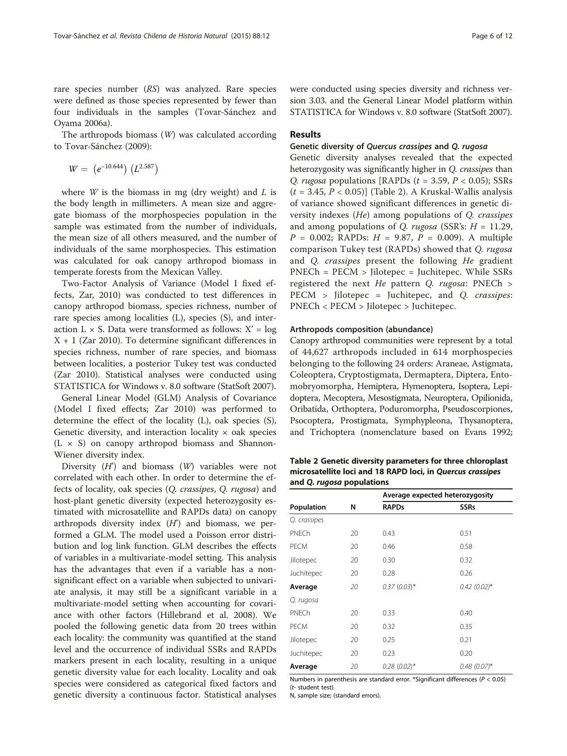<span id="page-5-0"></span>rare species number (RS) was analyzed. Rare species were defined as those species represented by fewer than four individuals in the samples (Tovar-Sánchez and Oyama [2006a\)](#page-11-0).

The arthropods biomass (W) was calculated according to Tovar-Sánchez ([2009](#page-10-0)):

$$
W = (e^{-10.644}) (L^{2.587})
$$

where  $W$  is the biomass in mg (dry weight) and  $L$  is the body length in millimeters. A mean size and aggregate biomass of the morphospecies population in the sample was estimated from the number of individuals, the mean size of all others measured, and the number of individuals of the same morphospecies. This estimation was calculated for oak canopy arthropod biomass in temperate forests from the Mexican Valley.

Two-Factor Analysis of Variance (Model I fixed effects, Zar, [2010\)](#page-11-0) was conducted to test differences in canopy arthropod biomass, species richness, number of rare species among localities (L), species (S), and interaction  $L \times S$ . Data were transformed as follows:  $X' = log$  $X + 1$  (Zar [2010](#page-11-0)). To determine significant differences in species richness, number of rare species, and biomass between localities, a posterior Tukey test was conducted (Zar [2010\)](#page-11-0). Statistical analyses were conducted using STATISTICA for Windows v. 8.0 software (StatSoft [2007\)](#page-10-0).

General Linear Model (GLM) Analysis of Covariance (Model I fixed effects; Zar [2010\)](#page-11-0) was performed to determine the effect of the locality (L), oak species (S), Genetic diversity, and interaction locality  $\times$  oak species  $(L \times S)$  on canopy arthropod biomass and Shannon-Wiener diversity index.

Diversity  $(H')$  and biomass  $(W)$  variables were not correlated with each other. In order to determine the effects of locality, oak species (Q. crassipes, Q. rugosa) and host-plant genetic diversity (expected heterozygosity estimated with microsatellite and RAPDs data) on canopy arthropods diversity index  $(H')$  and biomass, we performed a GLM. The model used a Poisson error distribution and log link function. GLM describes the effects of variables in a multivariate-model setting. This analysis has the advantages that even if a variable has a nonsignificant effect on a variable when subjected to univariate analysis, it may still be a significant variable in a multivariate-model setting when accounting for covariance with other factors (Hillebrand et al. [2008](#page-10-0)). We pooled the following genetic data from 20 trees within each locality: the community was quantified at the stand level and the occurrence of individual SSRs and RAPDs markers present in each locality, resulting in a unique genetic diversity value for each locality. Locality and oak species were considered as categorical fixed factors and genetic diversity a continuous factor. Statistical analyses were conducted using species diversity and richness version 3.03. and the General Linear Model platform within STATISTICA for Windows v. 8.0 software (StatSoft [2007\)](#page-10-0).

## Results

## Genetic diversity of Quercus crassipes and Q. rugosa

Genetic diversity analyses revealed that the expected heterozygosity was significantly higher in Q. crassipes than Q. rugosa populations [RAPDs  $(t = 3.59, P < 0.05)$ ; SSRs  $(t = 3.45, P < 0.05)$ ] (Table 2). A Kruskal-Wallis analysis of variance showed significant differences in genetic diversity indexes (He) among populations of Q. crassipes and among populations of *O. rugosa* (SSR's:  $H = 11.29$ ,  $P = 0.002$ ; RAPDs:  $H = 9.87$ ,  $P = 0.009$ ). A multiple comparison Tukey test (RAPDs) showed that Q. rugosa and Q. crassipes present the following He gradient PNECh = PECM > Jilotepec = Juchitepec. While SSRs registered the next  $He$  pattern Q. rugosa: PNECh > PECM > Jilotepec = Juchitepec, and Q. crassipes: PNECh < PECM > Jilotepec > Juchitepec.

## Arthropods composition (abundance)

Canopy arthropod communities were represent by a total of 44,627 arthropods included in 614 morphospecies belonging to the following 24 orders: Araneae, Astigmata, Coleoptera, Cryptostigmata, Dermaptera, Diptera, Entomobryomorpha, Hemiptera, Hymenoptera, Isoptera, Lepidoptera, Mecoptera, Mesostigmata, Neuroptera, Opilionida, Oribatida, Orthoptera, Poduromorpha, Pseudoscorpiones, Psocoptera, Prostigmata, Symphypleona, Thysanoptera, and Trichoptera (nomenclature based on Evans [1992](#page-10-0);

Table 2 Genetic diversity parameters for three chloroplast microsatellite loci and 18 RAPD loci, in Quercus crassipes and Q. rugosa populations

|              |    | Average expected heterozygosity |                |  |  |  |  |
|--------------|----|---------------------------------|----------------|--|--|--|--|
| Population   | N  | <b>RAPDs</b>                    | <b>SSRs</b>    |  |  |  |  |
| Q. crassipes |    |                                 |                |  |  |  |  |
| PNFCh        | 20 | 0.43                            | 0.51           |  |  |  |  |
| <b>PECM</b>  | 20 | 0.46                            | 0.58           |  |  |  |  |
| Jilotepec    | 20 | 0.30                            | 0.32           |  |  |  |  |
| Juchitepec   | 20 | 0.28                            | 0.26           |  |  |  |  |
| Average      | 20 | $0.37(0.03)$ *                  | $0.42(0.02)$ * |  |  |  |  |
| Q. rugosa    |    |                                 |                |  |  |  |  |
| PNECh        | 20 | 0.33                            | 0.40           |  |  |  |  |
| <b>PECM</b>  | 20 | 0.32                            | 0.35           |  |  |  |  |
| Jilotepec    | 20 | 0.25                            | 0.21           |  |  |  |  |
| Juchitepec   | 20 | 0.23                            | 0.20           |  |  |  |  |
| Average      | 20 | $0.28(0.02)$ *                  | $0.48(0.07)$ * |  |  |  |  |

Numbers in parenthesis are standard error. \*Significant differences (P < 0.05) (t- student test).

N, sample size; (standard errors).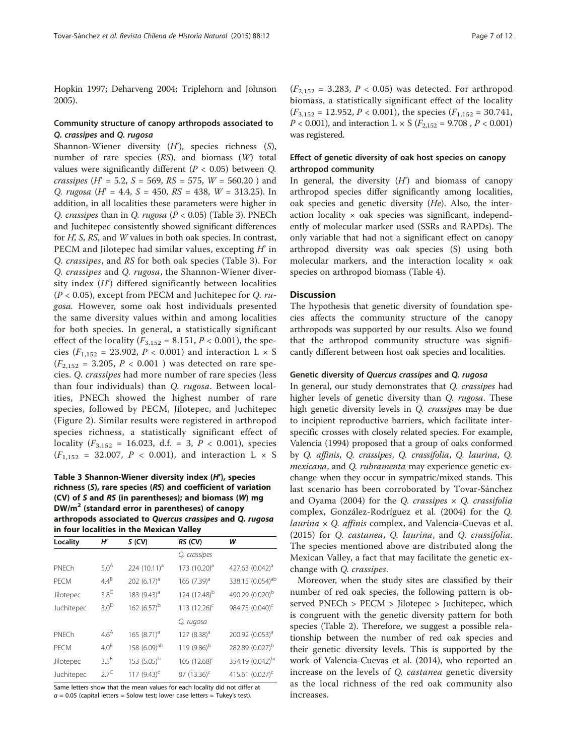Hopkin [1997;](#page-10-0) Deharveng [2004](#page-10-0); Triplehorn and Johnson [2005\)](#page-11-0).

## Community structure of canopy arthropods associated to Q. crassipes and Q. rugosa

Shannon-Wiener diversity  $(H')$ , species richness  $(S)$ , number of rare species  $(RS)$ , and biomass  $(W)$  total values were significantly different ( $P < 0.05$ ) between Q. crassipes ( $H' = 5.2$ ,  $S = 569$ ,  $RS = 575$ ,  $W = 560.20$ ) and Q. rugosa  $(H = 4.4, S = 450, RS = 438, W = 313.25)$ . In addition, in all localities these parameters were higher in Q. crassipes than in Q. rugosa  $(P < 0.05)$  (Table 3). PNECh and Juchitepec consistently showed significant differences for H', S, RS, and W values in both oak species. In contrast, PECM and Jilotepec had similar values, excepting  $H'$  in Q. crassipes, and RS for both oak species (Table 3). For Q. crassipes and Q. rugosa, the Shannon-Wiener diversity index  $(H')$  differed significantly between localities  $(P < 0.05)$ , except from PECM and Juchitepec for Q. rugosa. However, some oak host individuals presented the same diversity values within and among localities for both species. In general, a statistically significant effect of the locality ( $F_{3,152} = 8.151, P < 0.001$ ), the species ( $F_{1,152} = 23.902$ ,  $P < 0.001$ ) and interaction L  $\times$  S  $(F_{2,152} = 3.205, P < 0.001)$  was detected on rare species. Q. crassipes had more number of rare species (less than four individuals) than Q. rugosa. Between localities, PNECh showed the highest number of rare species, followed by PECM, Jilotepec, and Juchitepec (Figure [2](#page-7-0)). Similar results were registered in arthropod species richness, a statistically significant effect of locality ( $F_{3,152} = 16.023$ , d.f. = 3,  $P < 0.001$ ), species  $(F_{1,152} = 32.007, P < 0.001)$ , and interaction L × S

## Table 3 Shannon-Wiener diversity index (H'), species richness (S), rare species (RS) and coefficient of variation (CV) of S and RS (in parentheses); and biomass (W) mg DW/m2 (standard error in parentheses) of canopy arthropods associated to Quercus crassipes and Q. rugosa in four localities in the Mexican Valley

| Locality    | H                | S (CV)                  | RS (CV)                  | w                            |
|-------------|------------------|-------------------------|--------------------------|------------------------------|
|             |                  |                         | Q. crassipes             |                              |
| PNECh       | $5.0^{A}$        | 224 $(10.11)^a$         | 173 (10.20) <sup>a</sup> | 427.63 (0.042) <sup>a</sup>  |
| PECM        | $4.4^B$          | 202 $(6.17)^a$          | 165 $(7.39)^a$           | 338.15 (0.054) <sup>ab</sup> |
| Jilotepec   | $3.8^\circ$      | 183 $(9.43)^{a}$        | 124 (12.48) <sup>b</sup> | 490.29 (0.020) <sup>b</sup>  |
| Juchitepec  | 3.0 <sup>D</sup> | 162 (6.57) <sup>b</sup> | 113 $(12.26)^{c}$        | 984.75 (0.040) <sup>c</sup>  |
|             |                  |                         | Q. rugosa                |                              |
| PNECh       | 4.6 <sup>A</sup> | 165 $(8.71)^a$          | 127 $(8.38)^a$           | 200.92 (0.053) <sup>a</sup>  |
| <b>PECM</b> | $4.0^B$          | 158 $(6.09)^{ab}$       | 119 (9.86) <sup>b</sup>  | 282.89 (0.027) <sup>b</sup>  |
| Jilotepec   | $3.5^B$          | 153 $(5.05)^{b}$        | 105 (12.68) <sup>c</sup> | 354.19 (0.042)bc             |
| Juchitepec  | $27^{\circ}$     | 117 $(9.43)^{c}$        | 87 $(13.36)^c$           | 415.61 $(0.027)^c$           |

Same letters show that the mean values for each locality did not differ at  $\alpha$  = 0.05 (capital letters = Solow test; lower case letters = Tukey's test).

 $(F_{2,152} = 3.283, P < 0.05)$  was detected. For arthropod biomass, a statistically significant effect of the locality  $(F_{3,152} = 12.952, P < 0.001)$ , the species  $(F_{1,152} = 30.741,$  $P < 0.001$ ), and interaction L  $\times$  S ( $F_{2,152} = 9.708$ ,  $P < 0.001$ ) was registered.

## Effect of genetic diversity of oak host species on canopy arthropod community

In general, the diversity  $(H')$  and biomass of canopy arthropod species differ significantly among localities, oak species and genetic diversity  $(He)$ . Also, the interaction locality  $\times$  oak species was significant, independently of molecular marker used (SSRs and RAPDs). The only variable that had not a significant effect on canopy arthropod diversity was oak species (S) using both molecular markers, and the interaction locality  $\times$  oak species on arthropod biomass (Table [4\)](#page-8-0).

## **Discussion**

The hypothesis that genetic diversity of foundation species affects the community structure of the canopy arthropods was supported by our results. Also we found that the arthropod community structure was significantly different between host oak species and localities.

## Genetic diversity of Quercus crassipes and Q. rugosa

In general, our study demonstrates that Q. crassipes had higher levels of genetic diversity than Q. *rugosa*. These high genetic diversity levels in Q. crassipes may be due to incipient reproductive barriers, which facilitate interspecific crosses with closely related species. For example, Valencia [\(1994\)](#page-11-0) proposed that a group of oaks conformed by Q. affinis, Q. crassipes, Q. crassifolia, Q. laurina, Q. mexicana, and Q. rubramenta may experience genetic exchange when they occur in sympatric/mixed stands. This last scenario has been corroborated by Tovar-Sánchez and Oyama ([2004\)](#page-10-0) for the Q. crassipes  $\times$  Q. crassifolia complex, González-Rodríguez et al. [\(2004](#page-10-0)) for the Q. *laurina*  $\times$  *Q. affinis* complex, and Valencia-Cuevas et al. ([2015\)](#page-11-0) for Q. castanea, Q. laurina, and Q. crassifolia. The species mentioned above are distributed along the Mexican Valley, a fact that may facilitate the genetic exchange with Q. crassipes.

Moreover, when the study sites are classified by their number of red oak species, the following pattern is observed PNECh > PECM > Jilotepec > Juchitepec, which is congruent with the genetic diversity pattern for both species (Table [2](#page-5-0)). Therefore, we suggest a possible relationship between the number of red oak species and their genetic diversity levels. This is supported by the work of Valencia-Cuevas et al. ([2014](#page-11-0)), who reported an increase on the levels of Q. castanea genetic diversity as the local richness of the red oak community also increases.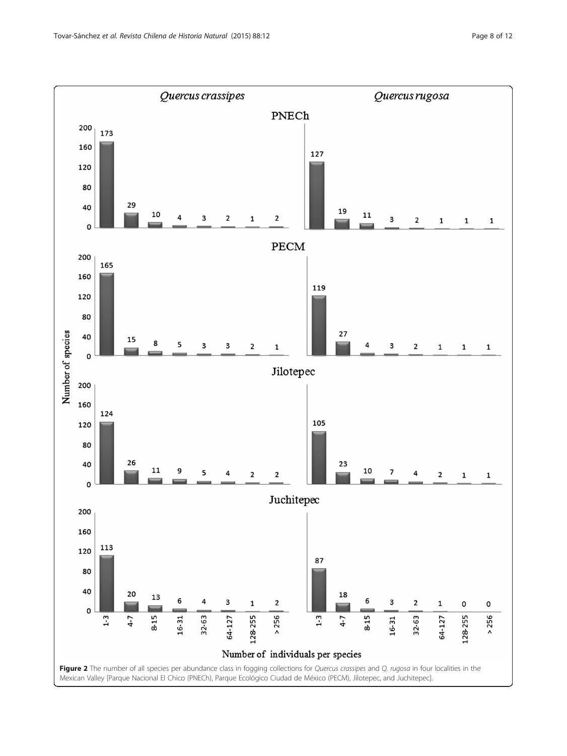<span id="page-7-0"></span>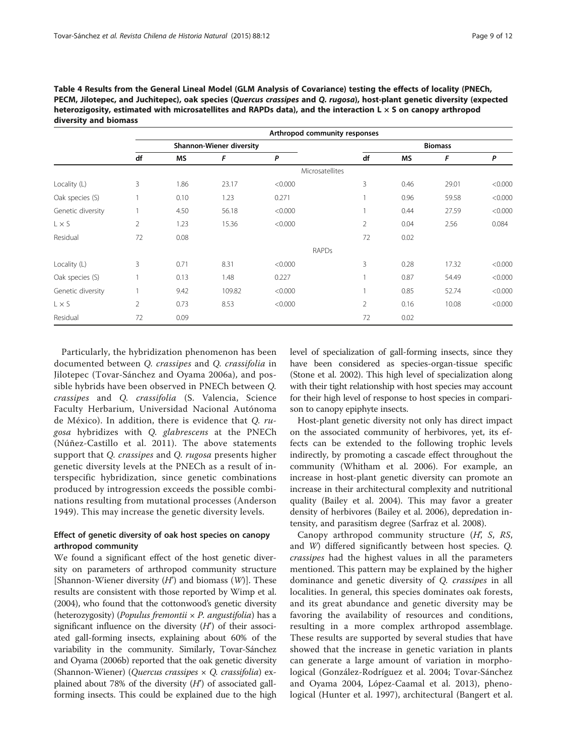<span id="page-8-0"></span>Table 4 Results from the General Lineal Model (GLM Analysis of Covariance) testing the effects of locality (PNECh, PECM, Jilotepec, and Juchitepec), oak species (Quercus crassipes and Q. rugosa), host-plant genetic diversity (expected heterozigosity, estimated with microsatellites and RAPDs data), and the interaction  $L \times S$  on canopy arthropod diversity and biomass

|                   | Arthropod community responses |      |                                 |                 |                |                |       |         |  |
|-------------------|-------------------------------|------|---------------------------------|-----------------|----------------|----------------|-------|---------|--|
|                   |                               |      | <b>Shannon-Wiener diversity</b> |                 |                | <b>Biomass</b> |       |         |  |
|                   | df                            | MS   | F                               | P               | df             | <b>MS</b>      | F     | P       |  |
|                   |                               |      |                                 | Microsatellites |                |                |       |         |  |
| Locality (L)      | 3                             | 1.86 | 23.17                           | < 0.000         | 3              | 0.46           | 29.01 | < 0.000 |  |
| Oak species (S)   |                               | 0.10 | 1.23                            | 0.271           |                | 0.96           | 59.58 | < 0.000 |  |
| Genetic diversity |                               | 4.50 | 56.18                           | < 0.000         |                | 0.44           | 27.59 | < 0.000 |  |
| $L \times S$      | 2                             | 1.23 | 15.36                           | < 0.000         | $\overline{2}$ | 0.04           | 2.56  | 0.084   |  |
| Residual          | 72                            | 0.08 |                                 |                 | 72             | 0.02           |       |         |  |
|                   |                               |      |                                 | RAPDs           |                |                |       |         |  |
| Locality (L)      | 3                             | 0.71 | 8.31                            | < 0.000         | 3              | 0.28           | 17.32 | < 0.000 |  |
| Oak species (S)   |                               | 0.13 | 1.48                            | 0.227           |                | 0.87           | 54.49 | < 0.000 |  |
| Genetic diversity |                               | 9.42 | 109.82                          | < 0.000         |                | 0.85           | 52.74 | < 0.000 |  |
| $L \times S$      | 2                             | 0.73 | 8.53                            | < 0.000         | 2              | 0.16           | 10.08 | < 0.000 |  |
| Residual          | 72                            | 0.09 |                                 |                 | 72             | 0.02           |       |         |  |

Particularly, the hybridization phenomenon has been documented between Q. crassipes and Q. crassifolia in Jilotepec (Tovar-Sánchez and Oyama [2006a](#page-11-0)), and possible hybrids have been observed in PNECh between Q. crassipes and Q. crassifolia (S. Valencia, Science Faculty Herbarium, Universidad Nacional Autónoma de México). In addition, there is evidence that Q. rugosa hybridizes with Q. glabrescens at the PNECh (Núñez-Castillo et al. [2011](#page-10-0)). The above statements support that Q. crassipes and Q. rugosa presents higher genetic diversity levels at the PNECh as a result of interspecific hybridization, since genetic combinations produced by introgression exceeds the possible combinations resulting from mutational processes (Anderson [1949](#page-10-0)). This may increase the genetic diversity levels.

## Effect of genetic diversity of oak host species on canopy arthropod community

We found a significant effect of the host genetic diversity on parameters of arthropod community structure [Shannon-Wiener diversity  $(H')$  and biomass  $(W)$ ]. These results are consistent with those reported by Wimp et al. ([2004](#page-11-0)), who found that the cottonwood's genetic diversity (heterozygosity) (Populus fremontii  $\times$  P. angustifolia) has a significant influence on the diversity  $(H)$  of their associated gall-forming insects, explaining about 60% of the variability in the community. Similarly, Tovar-Sánchez and Oyama ([2006b\)](#page-11-0) reported that the oak genetic diversity (Shannon-Wiener) (Quercus crassipes <sup>×</sup> Q. crassifolia) explained about 78% of the diversity  $(H)$  of associated gallforming insects. This could be explained due to the high level of specialization of gall-forming insects, since they have been considered as species-organ-tissue specific (Stone et al. [2002](#page-10-0)). This high level of specialization along with their tight relationship with host species may account for their high level of response to host species in comparison to canopy epiphyte insects.

Host-plant genetic diversity not only has direct impact on the associated community of herbivores, yet, its effects can be extended to the following trophic levels indirectly, by promoting a cascade effect throughout the community (Whitham et al. [2006\)](#page-11-0). For example, an increase in host-plant genetic diversity can promote an increase in their architectural complexity and nutritional quality (Bailey et al. [2004\)](#page-10-0). This may favor a greater density of herbivores (Bailey et al. [2006\)](#page-10-0), depredation intensity, and parasitism degree (Sarfraz et al. [2008\)](#page-10-0).

Canopy arthropod community structure  $(H, S, RS, I)$ and W) differed significantly between host species. Q. crassipes had the highest values in all the parameters mentioned. This pattern may be explained by the higher dominance and genetic diversity of Q. crassipes in all localities. In general, this species dominates oak forests, and its great abundance and genetic diversity may be favoring the availability of resources and conditions, resulting in a more complex arthropod assemblage. These results are supported by several studies that have showed that the increase in genetic variation in plants can generate a large amount of variation in morphological (González-Rodríguez et al. [2004](#page-10-0); Tovar-Sánchez and Oyama [2004,](#page-10-0) López-Caamal et al. [2013\)](#page-10-0), phenological (Hunter et al. [1997\)](#page-10-0), architectural (Bangert et al.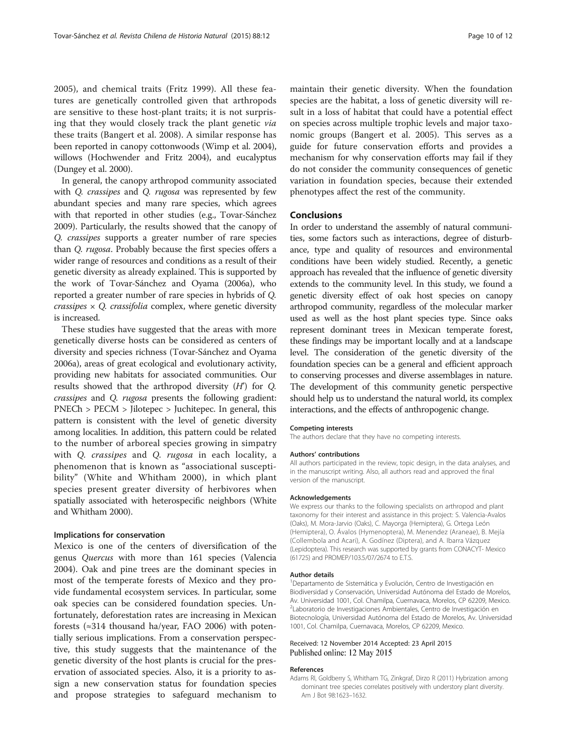[2005\)](#page-10-0), and chemical traits (Fritz [1999\)](#page-10-0). All these features are genetically controlled given that arthropods are sensitive to these host-plant traits; it is not surprising that they would closely track the plant genetic via these traits (Bangert et al. [2008](#page-10-0)). A similar response has been reported in canopy cottonwoods (Wimp et al. [2004](#page-11-0)), willows (Hochwender and Fritz [2004\)](#page-10-0), and eucalyptus (Dungey et al. [2000](#page-10-0)).

In general, the canopy arthropod community associated with Q. crassipes and Q. rugosa was represented by few abundant species and many rare species, which agrees with that reported in other studies (e.g., Tovar-Sánchez [2009\)](#page-10-0). Particularly, the results showed that the canopy of Q. crassipes supports a greater number of rare species than Q. rugosa. Probably because the first species offers a wider range of resources and conditions as a result of their genetic diversity as already explained. This is supported by the work of Tovar-Sánchez and Oyama ([2006a](#page-11-0)), who reported a greater number of rare species in hybrids of Q. *crassipes*  $\times$  *Q. crassifolia* complex, where genetic diversity is increased.

These studies have suggested that the areas with more genetically diverse hosts can be considered as centers of diversity and species richness (Tovar-Sánchez and Oyama [2006a](#page-11-0)), areas of great ecological and evolutionary activity, providing new habitats for associated communities. Our results showed that the arthropod diversity  $(H)$  for  $Q$ . crassipes and Q. rugosa presents the following gradient: PNECh > PECM > Jilotepec > Juchitepec. In general, this pattern is consistent with the level of genetic diversity among localities. In addition, this pattern could be related to the number of arboreal species growing in simpatry with Q. crassipes and Q. rugosa in each locality, a phenomenon that is known as "associational susceptibility" (White and Whitham [2000\)](#page-11-0), in which plant species present greater diversity of herbivores when spatially associated with heterospecific neighbors (White and Whitham [2000](#page-11-0)).

## Implications for conservation

Mexico is one of the centers of diversification of the genus Quercus with more than 161 species (Valencia [2004](#page-11-0)). Oak and pine trees are the dominant species in most of the temperate forests of Mexico and they provide fundamental ecosystem services. In particular, some oak species can be considered foundation species. Unfortunately, deforestation rates are increasing in Mexican forests ( $\approx$ 314 thousand ha/year, FAO [2006\)](#page-10-0) with potentially serious implications. From a conservation perspective, this study suggests that the maintenance of the genetic diversity of the host plants is crucial for the preservation of associated species. Also, it is a priority to assign a new conservation status for foundation species and propose strategies to safeguard mechanism to maintain their genetic diversity. When the foundation species are the habitat, a loss of genetic diversity will result in a loss of habitat that could have a potential effect on species across multiple trophic levels and major taxonomic groups (Bangert et al. [2005](#page-10-0)). This serves as a guide for future conservation efforts and provides a mechanism for why conservation efforts may fail if they do not consider the community consequences of genetic variation in foundation species, because their extended phenotypes affect the rest of the community.

## Conclusions

In order to understand the assembly of natural communities, some factors such as interactions, degree of disturbance, type and quality of resources and environmental conditions have been widely studied. Recently, a genetic approach has revealed that the influence of genetic diversity extends to the community level. In this study, we found a genetic diversity effect of oak host species on canopy arthropod community, regardless of the molecular marker used as well as the host plant species type. Since oaks represent dominant trees in Mexican temperate forest, these findings may be important locally and at a landscape level. The consideration of the genetic diversity of the foundation species can be a general and efficient approach to conserving processes and diverse assemblages in nature. The development of this community genetic perspective should help us to understand the natural world, its complex interactions, and the effects of anthropogenic change.

#### Competing interests

The authors declare that they have no competing interests.

#### Authors' contributions

All authors participated in the review, topic design, in the data analyses, and in the manuscript writing. Also, all authors read and approved the final version of the manuscript.

#### Acknowledgements

We express our thanks to the following specialists on arthropod and plant taxonomy for their interest and assistance in this project: S. Valencia-Avalos (Oaks), M. Mora-Jarvio (Oaks), C. Mayorga (Hemiptera), G. Ortega León (Hemiptera), O. Ávalos (Hymenoptera), M. Menendez (Araneae), B. Mejía (Collembola and Acari), A. Godínez (Diptera), and A. Ibarra Vázquez (Lepidoptera). This research was supported by grants from CONACYT- Mexico (61725) and PROMEP/103.5/07/2674 to E.T.S.

#### Author details

<sup>1</sup>Departamento de Sistemática y Evolución, Centro de Investigación en Biodiversidad y Conservación, Universidad Autónoma del Estado de Morelos, Av. Universidad 1001, Col. Chamilpa, Cuernavaca, Morelos, CP 62209, Mexico. <sup>2</sup> Laboratorio de Investigaciones Ambientales, Centro de Investigación en Biotecnología, Universidad Autónoma del Estado de Morelos, Av. Universidad 1001, Col. Chamilpa, Cuernavaca, Morelos, CP 62209, Mexico.

#### Received: 12 November 2014 Accepted: 23 April 2015 Published online: 12 May 2015

## References

Adams RI, Goldberry S, Whitham TG, Zinkgraf, Dirzo R (2011) Hybrization among dominant tree species correlates positively with understory plant diversity. Am J Bot 98:1623–1632.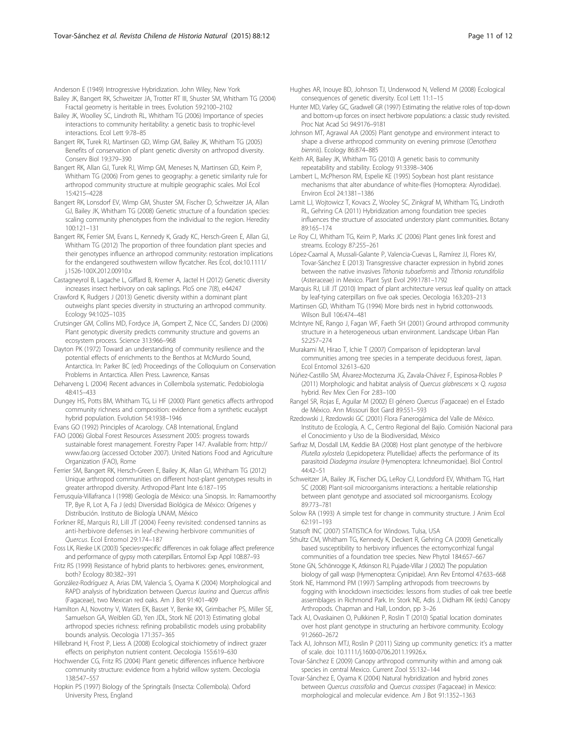<span id="page-10-0"></span>Anderson E (1949) Introgressive Hybridization. John Wiley, New York

- Bailey JK, Bangert RK, Schweitzer JA, Trotter RT III, Shuster SM, Whitham TG (2004) Fractal geometry is heritable in trees. Evolution 59:2100–2102
- Bailey JK, Woolley SC, Lindroth RL, Whitham TG (2006) Importance of species interactions to community heritability: a genetic basis to trophic-level interactions. Ecol Lett 9:78–85
- Bangert RK, Turek RJ, Martinsen GD, Wimp GM, Bailey JK, Whitham TG (2005) Benefits of conservation of plant genetic diversity on arthropod diversity. Conserv Biol 19:379–390
- Bangert RK, Allan GJ, Turek RJ, Wimp GM, Meneses N, Martinsen GD, Keim P, Whitham TG (2006) From genes to geography: a genetic similarity rule for arthropod community structure at multiple geographic scales. Mol Ecol 15:4215–4228
- Bangert RK, Lonsdorf EV, Wimp GM, Shuster SM, Fischer D, Schweitzer JA, Allan GJ, Bailey JK, Whitham TG (2008) Genetic structure of a foundation species: scaling community phenotypes from the individual to the region. Heredity 100:121–131
- Bangert RK, Ferrier SM, Evans L, Kennedy K, Grady KC, Hersch-Green E, Allan GJ, Whitham TG (2012) The proportion of three foundation plant species and their genotypes influence an arthropod community: restoration implications for the endangered southwestern willow flycatcher. Res Ecol, doi:10.1111/ j.1526-100X.2012.00910.x
- Castagneyrol B, Lagache L, Giffard B, Kremer A, Jactel H (2012) Genetic diversity increases insect herbivory on oak saplings. PloS one 7(8), e44247
- Crawford K, Rudgers J (2013) Genetic diversity within a dominant plant outweighs plant species diversity in structuring an arthropod community. Ecology 94:1025–1035
- Crutsinger GM, Collins MD, Fordyce JA, Gompert Z, Nice CC, Sanders DJ (2006) Plant genotypic diversity predicts community structure and governs an ecosystem process. Science 313:966–968
- Dayton PK (1972) Toward an understanding of community resilience and the potential effects of enrichments to the Benthos at McMurdo Sound, Antarctica. In: Parker BC (ed) Proceedings of the Colloquium on Conservation Problems in Antarctica. Allen Press. Lawrence, Kansas
- Deharveng L (2004) Recent advances in Collembola systematic. Pedobiologia 48:415–433
- Dungey HS, Potts BM, Whitham TG, Li HF (2000) Plant genetics affects arthropod community richness and composition: evidence from a synthetic eucalypt hybrid population. Evolution 54:1938–1946
- Evans GO (1992) Principles of Acarology. CAB International, England
- FAO (2006) Global Forest Resources Assessment 2005: progress towards sustainable forest management. Forestry Paper 147. Available from: [http://](http://www.fao.org) [www.fao.org](http://www.fao.org) (accessed October 2007). United Nations Food and Agriculture Organization (FAO), Rome
- Ferrier SM, Bangert RK, Hersch-Green E, Bailey JK, Allan GJ, Whitham TG (2012) Unique arthropod communities on different host-plant genotypes results in greater arthropod diversity. Arthropod-Plant Inte 6:187–195
- Ferrusquía-Villafranca I (1998) Geología de México: una Sinopsis. In: Ramamoorthy TP, Bye R, Lot A, Fa J (eds) Diversidad Biológica de México: Orígenes y Distribución. Instituto de Biología UNAM, México
- Forkner RE, Marquis RJ, Lill JT (2004) Feeny revisited: condensed tannins as anti-herbivore defenses in leaf-chewing herbivore communities of Quercus. Ecol Entomol 29:174–187
- Foss LK, Rieske LK (2003) Species‐specific differences in oak foliage affect preference and performance of gypsy moth caterpillars. Entomol Exp Appl 108:87–93
- Fritz RS (1999) Resistance of hybrid plants to herbivores: genes, environment, both? Ecology 80:382–391
- González-Rodríguez A, Arias DM, Valencia S, Oyama K (2004) Morphological and RAPD analysis of hybridization between Quercus laurina and Quercus affinis (Fagaceae), two Mexican red oaks. Am J Bot 91:401–409
- Hamilton AJ, Novotny V, Waters EK, Basset Y, Benke KK, Grimbacher PS, Miller SE, Samuelson GA, Weiblen GD, Yen JDL, Stork NE (2013) Estimating global arthropod species richness: refining probabilistic models using probability bounds analysis. Oecologia 171:357–365
- Hillebrand H, Frost P, Liess A (2008) Ecological stoichiometry of indirect grazer effects on periphyton nutrient content. Oecologia 155:619–630
- Hochwender CG, Fritz RS (2004) Plant genetic differences influence herbivore community structure: evidence from a hybrid willow system. Oecologia 138:547–557
- Hopkin PS (1997) Biology of the Springtails (Insecta: Collembola). Oxford University Press, England
- Hughes AR, Inouye BD, Johnson TJ, Underwood N, Vellend M (2008) Ecological consequences of genetic diversity. Ecol Lett 11:1–15
- Hunter MD, Varley GC, Gradwell GR (1997) Estimating the relative roles of top-down and bottom-up forces on insect herbivore populations: a classic study revisited. Proc Nat Acad Sci 94:9176–9181
- Johnson MT, Agrawal AA (2005) Plant genotype and environment interact to shape a diverse arthropod community on evening primrose (Oenothera biennis). Ecology 86:874–885
- Keith AR, Bailey JK, Whitham TG (2010) A genetic basis to community repeatability and stability. Ecology 91:3398–3406
- Lambert L, McPherson RM, Espelie KE (1995) Soybean host plant resistance mechanisms that alter abundance of white-flies (Homoptera: Alyrodidae). Environ Ecol 24:1381–1386
- Lamit LJ, Wojtowicz T, Kovacs Z, Wooley SC, Zinkgraf M, Whitham TG, Lindroth RL, Gehring CA (2011) Hybridization among foundation tree species influences the structure of associated understory plant communities. Botany 89:165–174
- Le Roy CJ, Whitham TG, Keim P, Marks JC (2006) Plant genes link forest and streams. Ecology 87:255–261
- López-Caamal A, Mussali-Galante P, Valencia-Cuevas L, Ramírez JJ, Flores KV, Tovar-Sánchez E (2013) Transgressive character expression in hybrid zones between the native invasives Tithonia tubaeformis and Tithonia rotundifolia (Asteraceae) in Mexico. Plant Syst Evol 299:1781–1792
- Marquis RJ, Lill JT (2010) Impact of plant architecture versus leaf quality on attack by leaf-tying caterpillars on five oak species. Oecologia 163:203–213
- Martinsen GD, Whitham TG (1994) More birds nest in hybrid cottonwoods. Wilson Bull 106:474–481
- McIntyre NE, Rango J, Fagan WF, Faeth SH (2001) Ground arthropod community structure in a heterogeneous urban environment. Landscape Urban Plan 52:257–274
- Murakami M, Hirao T, Ichie T (2007) Comparison of lepidopteran larval communities among tree species in a temperate deciduous forest, Japan. Ecol Entomol 32:613–620
- Núñez-Castillo SM, Álvarez-Moctezuma JG, Zavala-Chávez F, Espinosa-Robles P (2011) Morphologic and habitat analysis of Quercus glabrescens  $\times$  Q. rugosa hybrid. Rev Mex Cien For 2:83–100
- Rangel SR, Rojas E, Aguilar M (2002) El género Quercus (Fagaceae) en el Estado de México. Ann Missouri Bot Gard 89:551–593
- Rzedowski J, Rzedowski GC (2001) Flora Fanerogámica del Valle de México. Instituto de Ecología, A. C., Centro Regional del Bajío. Comisión Nacional para el Conocimiento y Uso de la Biodiversidad, México
- Sarfraz M, Dosdall LM, Keddie BA (2008) Host plant genotype of the herbivore Plutella xylostela (Lepidopetera: Plutellidae) affects the performance of its parasitoid Diadegma insulare (Hymenoptera: Ichneumonidae). Biol Control 44:42–51
- Schweitzer JA, Bailey JK, Fischer DG, LeRoy CJ, Londsford EV, Whitham TG, Hart SC (2008) Plant-soil microorganisms interactions: a heritable relationship between plant genotype and associated soil microorganisms. Ecology 89:773–781
- Solow RA (1993) A simple test for change in community structure. J Anim Ecol 62:191–193
- Statsoft INC (2007) STATISTICA for Windows. Tulsa, USA
- Sthultz CM, Whitham TG, Kennedy K, Deckert R, Gehring CA (2009) Genetically based susceptibility to herbivory influences the ectomycorrhizal fungal communities of a foundation tree species. New Phytol 184:657–667
- Stone GN, Schönrogge K, Atkinson RJ, Pujade-Villar J (2002) The population biology of gall wasp (Hymenoptera: Cynipidae). Ann Rev Entomol 47:633–668
- Stork NE, Hammond PM (1997) Sampling arthropods from treecrowns by fogging with knockdown insecticides: lessons from studies of oak tree beetle assemblages in Richmond Park. In: Stork NE, Adis J, Didham RK (eds) Canopy Arthropods. Chapman and Hall, London, pp 3–26
- Tack AJ, Ovaskainen O, Pulkkinen P, Roslin T (2010) Spatial location dominates over host plant genotype in structuring an herbivore community. Ecology 91:2660–2672
- Tack AJ, Johnson MTJ, Roslin P (2011) Sizing up community genetics: it's a matter of scale. doi: 10.1111/j.1600-0706.2011.19926.x.
- Tovar-Sánchez E (2009) Canopy arthropod community within and among oak species in central Mexico. Current Zool 55:132–144
- Tovar-Sánchez E, Oyama K (2004) Natural hybridization and hybrid zones between Quercus crassifolia and Quercus crassipes (Fagaceae) in Mexico: morphological and molecular evidence. Am J Bot 91:1352–1363